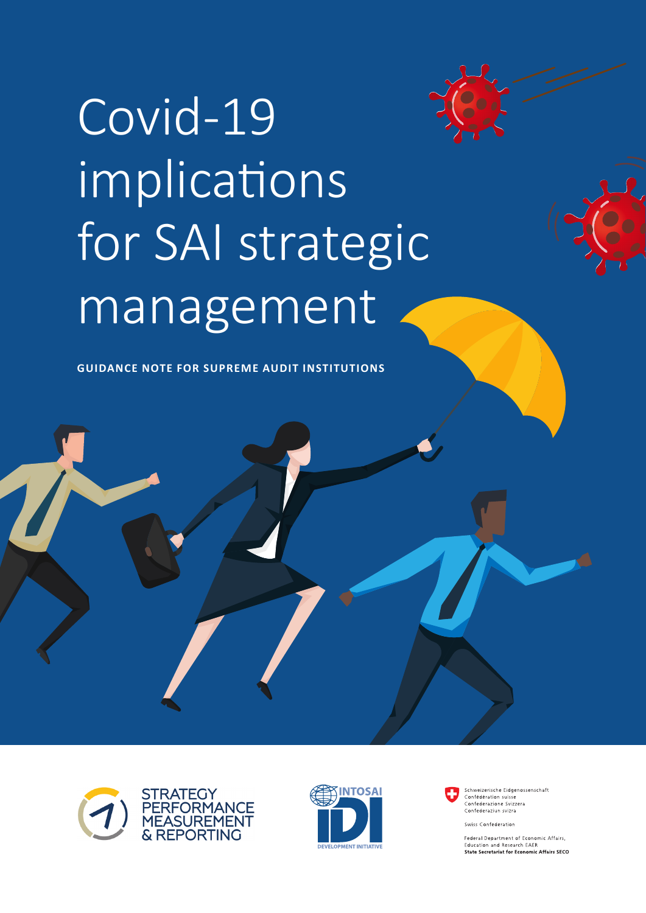# Covid-19 implications for SAI strategic management

**GUIDANCE NOTE FOR SUPREME AUDIT INSTITUTIONS**







Schweizerische Fidgenossenschaft Confédération suisse<br>Confédération suisse<br>Confederazione Svizzera Confederaziun svizra

Swiss Confederation

Federal Department of Economic Affairs, Education and Research EAER<br>State Secretariat for Economic Affairs SECO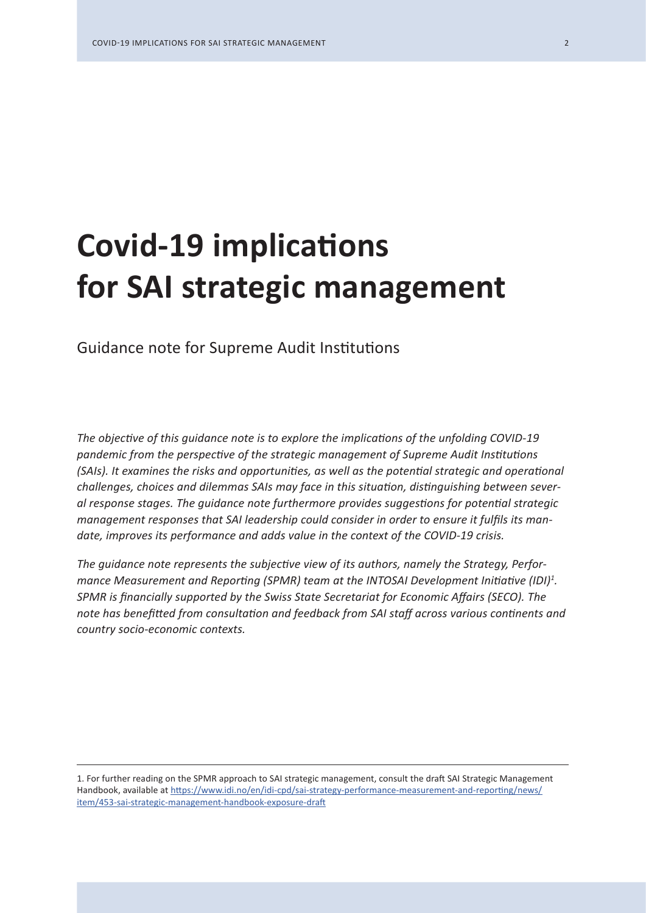# **Covid-19 implications for SAI strategic management**

Guidance note for Supreme Audit Institutions

*The objective of this guidance note is to explore the implications of the unfolding COVID-19 pandemic from the perspective of the strategic management of Supreme Audit Institutions (SAIs). It examines the risks and opportunities, as well as the potential strategic and operational challenges, choices and dilemmas SAIs may face in this situation, distinguishing between several response stages. The guidance note furthermore provides suggestions for potential strategic management responses that SAI leadership could consider in order to ensure it fulfils its mandate, improves its performance and adds value in the context of the COVID-19 crisis.*

*The guidance note represents the subjective view of its authors, namely the Strategy, Perfor*mance Measurement and Reporting (SPMR) team at the INTOSAI Development Initiative (IDI)<sup>1</sup>. *SPMR is financially supported by the Swiss State Secretariat for Economic Affairs (SECO). The note has benefitted from consultation and feedback from SAI staff across various continents and country socio-economic contexts.* 

1. For further reading on the SPMR approach to SAI strategic management, consult the draft SAI Strategic Management Handbook, available at https://www.idi.no/en/idi-cpd/sai-strategy-performance-measurement-and-reporting/news/ item/453-sai-strategic-management-handbook-exposure-draft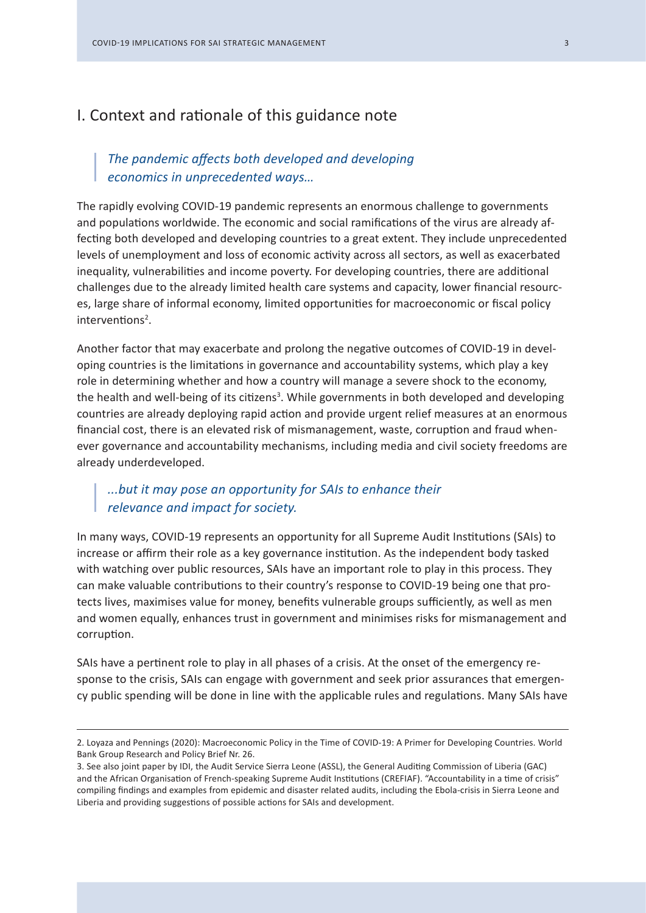# I. Context and rationale of this guidance note

# *The pandemic affects both developed and developing economics in unprecedented ways…*

The rapidly evolving COVID-19 pandemic represents an enormous challenge to governments and populations worldwide. The economic and social ramifications of the virus are already affecting both developed and developing countries to a great extent. They include unprecedented levels of unemployment and loss of economic activity across all sectors, as well as exacerbated inequality, vulnerabilities and income poverty. For developing countries, there are additional challenges due to the already limited health care systems and capacity, lower financial resources, large share of informal economy, limited opportunities for macroeconomic or fiscal policy interventions<sup>2</sup>.

Another factor that may exacerbate and prolong the negative outcomes of COVID-19 in developing countries is the limitations in governance and accountability systems, which play a key role in determining whether and how a country will manage a severe shock to the economy, the health and well-being of its citizens<sup>3</sup>. While governments in both developed and developing countries are already deploying rapid action and provide urgent relief measures at an enormous financial cost, there is an elevated risk of mismanagement, waste, corruption and fraud whenever governance and accountability mechanisms, including media and civil society freedoms are already underdeveloped.

# *...but it may pose an opportunity for SAIs to enhance their relevance and impact for society.*

In many ways, COVID-19 represents an opportunity for all Supreme Audit Institutions (SAIs) to increase or affirm their role as a key governance institution. As the independent body tasked with watching over public resources, SAIs have an important role to play in this process. They can make valuable contributions to their country's response to COVID-19 being one that protects lives, maximises value for money, benefits vulnerable groups sufficiently, as well as men and women equally, enhances trust in government and minimises risks for mismanagement and corruption.

SAIs have a pertinent role to play in all phases of a crisis. At the onset of the emergency response to the crisis, SAIs can engage with government and seek prior assurances that emergency public spending will be done in line with the applicable rules and regulations. Many SAIs have

<sup>2.</sup> Loyaza and Pennings (2020): Macroeconomic Policy in the Time of COVID-19: A Primer for Developing Countries. World Bank Group Research and Policy Brief Nr. 26.

<sup>3.</sup> See also joint paper by IDI, the Audit Service Sierra Leone (ASSL), the General Auditing Commission of Liberia (GAC) and the African Organisation of French-speaking Supreme Audit Institutions (CREFIAF). "Accountability in a time of crisis" compiling findings and examples from epidemic and disaster related audits, including the Ebola-crisis in Sierra Leone and Liberia and providing suggestions of possible actions for SAIs and development.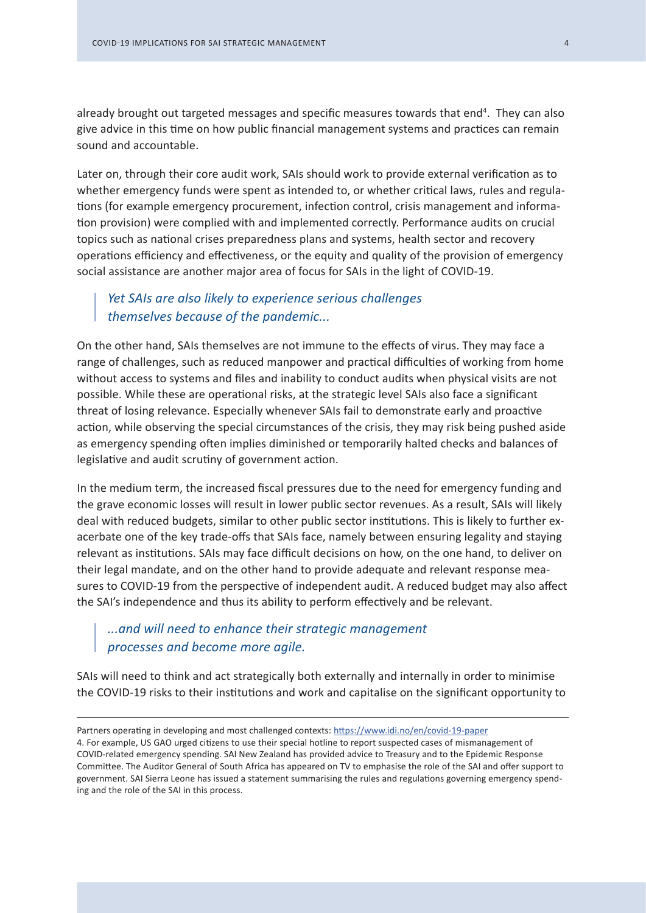already brought out targeted messages and specific measures towards that end<sup>4</sup>. They can also give advice in this time on how public financial management systems and practices can remain sound and accountable.

Later on, through their core audit work, SAIs should work to provide external verification as to whether emergency funds were spent as intended to, or whether critical laws, rules and regulations (for example emergency procurement, infection control, crisis management and information provision) were complied with and implemented correctly. Performance audits on crucial topics such as national crises preparedness plans and systems, health sector and recovery operations efficiency and effectiveness, or the equity and quality of the provision of emergency social assistance are another major area of focus for SAIs in the light of COVID-19.

# *Yet SAIs are also likely to experience serious challenges themselves because of the pandemic...*

On the other hand, SAIs themselves are not immune to the effects of virus. They may face a range of challenges, such as reduced manpower and practical difficulties of working from home without access to systems and files and inability to conduct audits when physical visits are not possible. While these are operational risks, at the strategic level SAIs also face a significant threat of losing relevance. Especially whenever SAIs fail to demonstrate early and proactive action, while observing the special circumstances of the crisis, they may risk being pushed aside as emergency spending often implies diminished or temporarily halted checks and balances of legislative and audit scrutiny of government action.

In the medium term, the increased fiscal pressures due to the need for emergency funding and the grave economic losses will result in lower public sector revenues. As a result, SAIs will likely deal with reduced budgets, similar to other public sector institutions. This is likely to further exacerbate one of the key trade-offs that SAIs face, namely between ensuring legality and staying relevant as institutions. SAIs may face difficult decisions on how, on the one hand, to deliver on their legal mandate, and on the other hand to provide adequate and relevant response measures to COVID-19 from the perspective of independent audit. A reduced budget may also affect the SAI's independence and thus its ability to perform effectively and be relevant.

# *...and will need to enhance their strategic management processes and become more agile.*

SAIs will need to think and act strategically both externally and internally in order to minimise the COVID-19 risks to their institutions and work and capitalise on the significant opportunity to

4. For example, US GAO urged citizens to use their special hotline to report suspected cases of mismanagement of COVID-related emergency spending. SAI New Zealand has provided advice to Treasury and to the Epidemic Response Committee. The Auditor General of South Africa has appeared on TV to emphasise the role of the SAI and offer support to government. SAI Sierra Leone has issued a statement summarising the rules and regulations governing emergency spending and the role of the SAI in this process.

Partners operating in developing and most challenged contexts: https://www.idi.no/en/covid-19-paper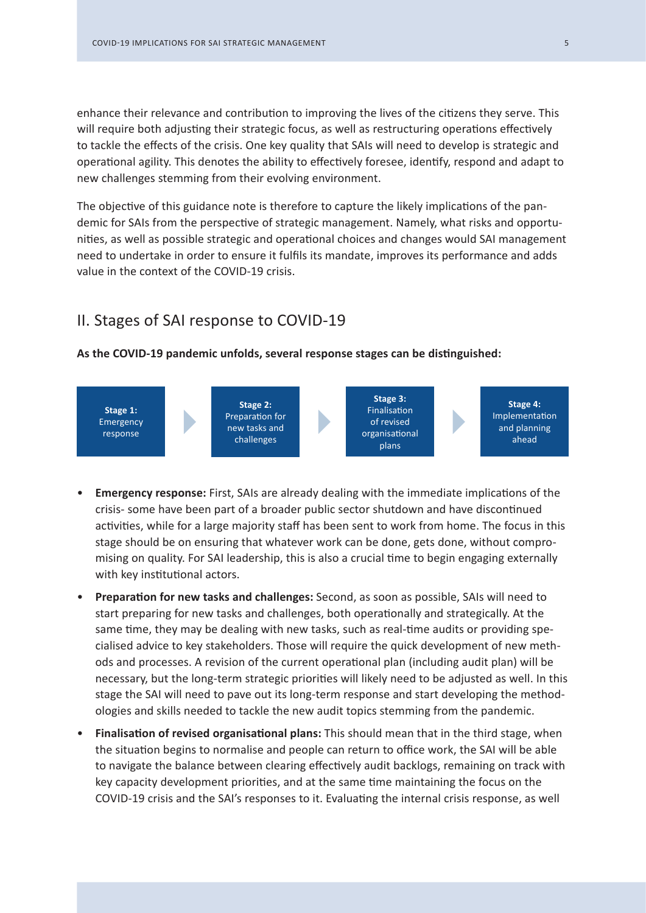enhance their relevance and contribution to improving the lives of the citizens they serve. This will require both adjusting their strategic focus, as well as restructuring operations effectively to tackle the effects of the crisis. One key quality that SAIs will need to develop is strategic and operational agility. This denotes the ability to effectively foresee, identify, respond and adapt to new challenges stemming from their evolving environment.

The objective of this guidance note is therefore to capture the likely implications of the pandemic for SAIs from the perspective of strategic management. Namely, what risks and opportunities, as well as possible strategic and operational choices and changes would SAI management need to undertake in order to ensure it fulfils its mandate, improves its performance and adds value in the context of the COVID-19 crisis.

# II. Stages of SAI response to COVID-19

### **As the COVID-19 pandemic unfolds, several response stages can be distinguished:**



- **Emergency response:** First, SAIs are already dealing with the immediate implications of the crisis- some have been part of a broader public sector shutdown and have discontinued activities, while for a large majority staff has been sent to work from home. The focus in this stage should be on ensuring that whatever work can be done, gets done, without compromising on quality. For SAI leadership, this is also a crucial time to begin engaging externally with key institutional actors.
- **Preparation for new tasks and challenges:** Second, as soon as possible, SAIs will need to start preparing for new tasks and challenges, both operationally and strategically. At the same time, they may be dealing with new tasks, such as real-time audits or providing specialised advice to key stakeholders. Those will require the quick development of new methods and processes. A revision of the current operational plan (including audit plan) will be necessary, but the long-term strategic priorities will likely need to be adjusted as well. In this stage the SAI will need to pave out its long-term response and start developing the methodologies and skills needed to tackle the new audit topics stemming from the pandemic.
- **Finalisation of revised organisational plans:** This should mean that in the third stage, when the situation begins to normalise and people can return to office work, the SAI will be able to navigate the balance between clearing effectively audit backlogs, remaining on track with key capacity development priorities, and at the same time maintaining the focus on the COVID-19 crisis and the SAI's responses to it. Evaluating the internal crisis response, as well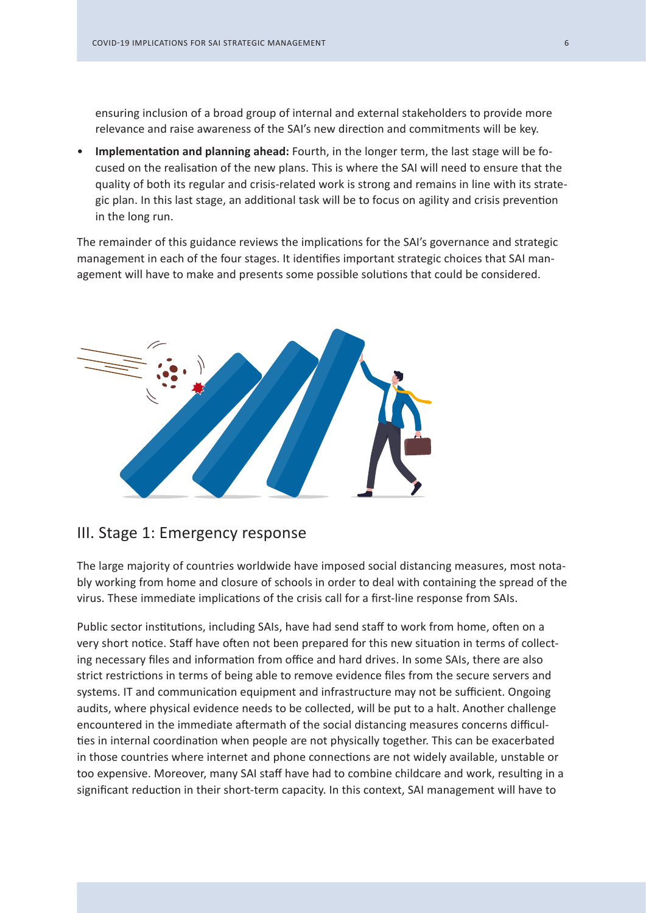ensuring inclusion of a broad group of internal and external stakeholders to provide more relevance and raise awareness of the SAI's new direction and commitments will be key.

• **Implementation and planning ahead:** Fourth, in the longer term, the last stage will be focused on the realisation of the new plans. This is where the SAI will need to ensure that the quality of both its regular and crisis-related work is strong and remains in line with its strategic plan. In this last stage, an additional task will be to focus on agility and crisis prevention in the long run.

The remainder of this guidance reviews the implications for the SAI's governance and strategic management in each of the four stages. It identifies important strategic choices that SAI management will have to make and presents some possible solutions that could be considered.



# III. Stage 1: Emergency response

The large majority of countries worldwide have imposed social distancing measures, most notably working from home and closure of schools in order to deal with containing the spread of the virus. These immediate implications of the crisis call for a first-line response from SAIs.

Public sector institutions, including SAIs, have had send staff to work from home, often on a very short notice. Staff have often not been prepared for this new situation in terms of collecting necessary files and information from office and hard drives. In some SAIs, there are also strict restrictions in terms of being able to remove evidence files from the secure servers and systems. IT and communication equipment and infrastructure may not be sufficient. Ongoing audits, where physical evidence needs to be collected, will be put to a halt. Another challenge encountered in the immediate aftermath of the social distancing measures concerns difficulties in internal coordination when people are not physically together. This can be exacerbated in those countries where internet and phone connections are not widely available, unstable or too expensive. Moreover, many SAI staff have had to combine childcare and work, resulting in a significant reduction in their short-term capacity. In this context, SAI management will have to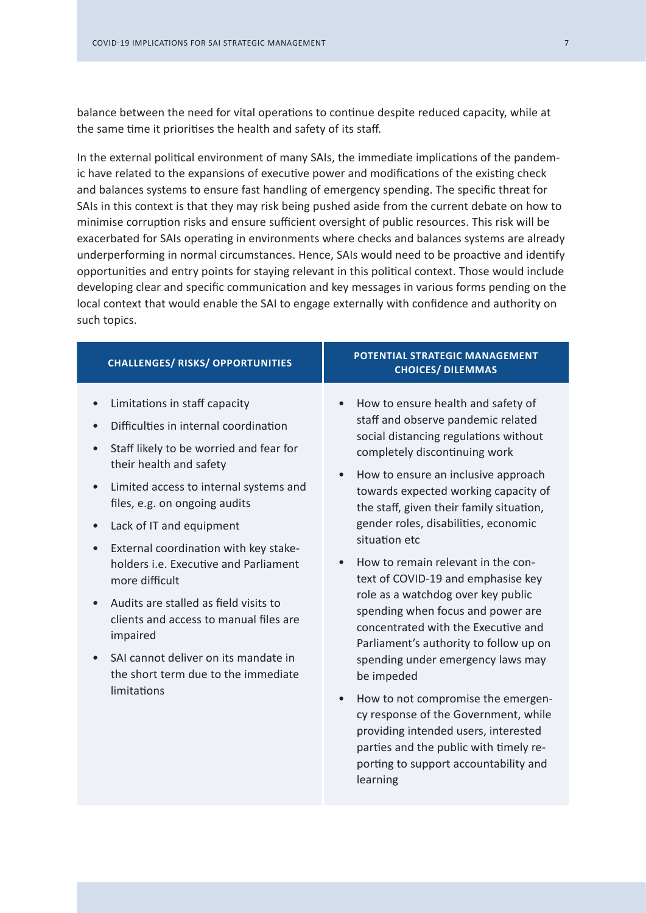balance between the need for vital operations to continue despite reduced capacity, while at the same time it prioritises the health and safety of its staff.

In the external political environment of many SAIs, the immediate implications of the pandemic have related to the expansions of executive power and modifications of the existing check and balances systems to ensure fast handling of emergency spending. The specific threat for SAIs in this context is that they may risk being pushed aside from the current debate on how to minimise corruption risks and ensure sufficient oversight of public resources. This risk will be exacerbated for SAIs operating in environments where checks and balances systems are already underperforming in normal circumstances. Hence, SAIs would need to be proactive and identify opportunities and entry points for staying relevant in this political context. Those would include developing clear and specific communication and key messages in various forms pending on the local context that would enable the SAI to engage externally with confidence and authority on such topics.

| <b>CHALLENGES/ RISKS/ OPPORTUNITIES</b>                                                                                                                                                                                                                                                                                                                                                                                                                                                                                                                                                                         | POTENTIAL STRATEGIC MANAGEMENT<br><b>CHOICES/ DILEMMAS</b>                                                                                                                                                                                                                                                                                                                                                                                                                                                                                                                                                                                                                                                                                                                                                                                                                                                 |
|-----------------------------------------------------------------------------------------------------------------------------------------------------------------------------------------------------------------------------------------------------------------------------------------------------------------------------------------------------------------------------------------------------------------------------------------------------------------------------------------------------------------------------------------------------------------------------------------------------------------|------------------------------------------------------------------------------------------------------------------------------------------------------------------------------------------------------------------------------------------------------------------------------------------------------------------------------------------------------------------------------------------------------------------------------------------------------------------------------------------------------------------------------------------------------------------------------------------------------------------------------------------------------------------------------------------------------------------------------------------------------------------------------------------------------------------------------------------------------------------------------------------------------------|
| Limitations in staff capacity<br>Difficulties in internal coordination<br>Staff likely to be worried and fear for<br>their health and safety<br>Limited access to internal systems and<br>$\bullet$<br>files, e.g. on ongoing audits<br>Lack of IT and equipment<br>$\bullet$<br>External coordination with key stake-<br>$\bullet$<br>holders <i>i.e.</i> Executive and Parliament<br>more difficult<br>Audits are stalled as field visits to<br>clients and access to manual files are<br>impaired<br>SAI cannot deliver on its mandate in<br>$\bullet$<br>the short term due to the immediate<br>limitations | How to ensure health and safety of<br>$\bullet$<br>staff and observe pandemic related<br>social distancing regulations without<br>completely discontinuing work<br>How to ensure an inclusive approach<br>$\bullet$<br>towards expected working capacity of<br>the staff, given their family situation,<br>gender roles, disabilities, economic<br>situation etc<br>How to remain relevant in the con-<br>$\bullet$<br>text of COVID-19 and emphasise key<br>role as a watchdog over key public<br>spending when focus and power are<br>concentrated with the Executive and<br>Parliament's authority to follow up on<br>spending under emergency laws may<br>be impeded<br>How to not compromise the emergen-<br>$\bullet$<br>cy response of the Government, while<br>providing intended users, interested<br>parties and the public with timely re-<br>porting to support accountability and<br>learning |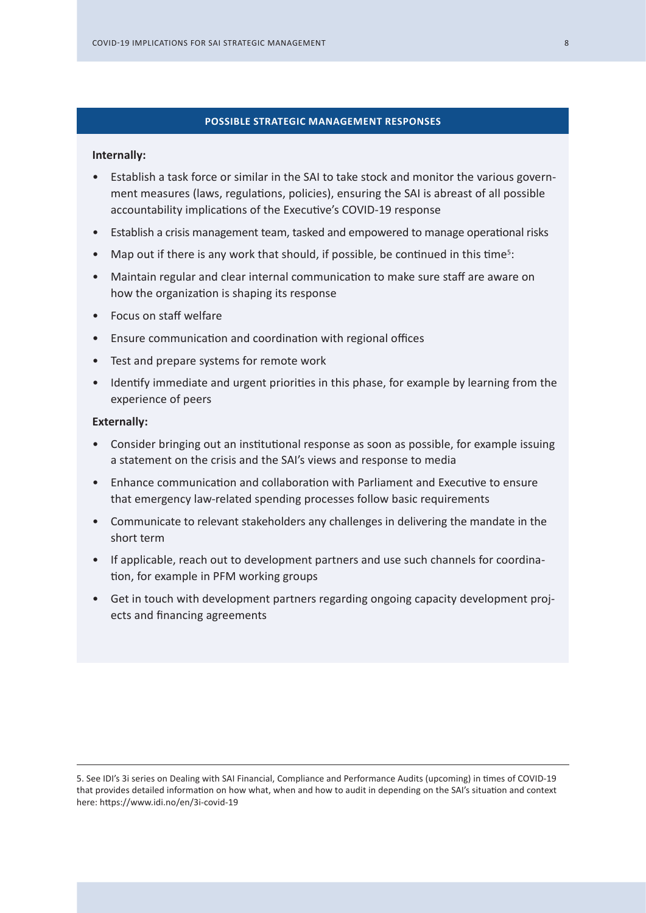#### **POSSIBLE STRATEGIC MANAGEMENT RESPONSES**

#### **Internally:**

- Establish a task force or similar in the SAI to take stock and monitor the various government measures (laws, regulations, policies), ensuring the SAI is abreast of all possible accountability implications of the Executive's COVID-19 response
- Establish a crisis management team, tasked and empowered to manage operational risks
- Map out if there is any work that should, if possible, be continued in this time<sup>5</sup>:
- Maintain regular and clear internal communication to make sure staff are aware on how the organization is shaping its response
- Focus on staff welfare
- Ensure communication and coordination with regional offices
- Test and prepare systems for remote work
- Identify immediate and urgent priorities in this phase, for example by learning from the experience of peers

- Consider bringing out an institutional response as soon as possible, for example issuing a statement on the crisis and the SAI's views and response to media
- Enhance communication and collaboration with Parliament and Executive to ensure that emergency law-related spending processes follow basic requirements
- Communicate to relevant stakeholders any challenges in delivering the mandate in the short term
- If applicable, reach out to development partners and use such channels for coordination, for example in PFM working groups
- Get in touch with development partners regarding ongoing capacity development projects and financing agreements

<sup>5.</sup> See IDI's 3i series on Dealing with SAI Financial, Compliance and Performance Audits (upcoming) in times of COVID-19 that provides detailed information on how what, when and how to audit in depending on the SAI's situation and context here: https://www.idi.no/en/3i-covid-19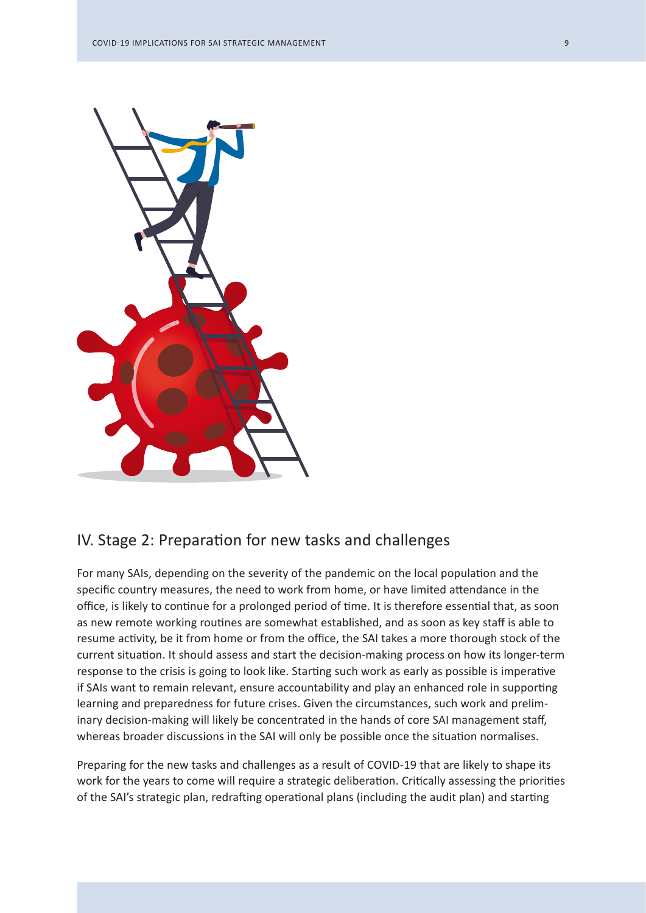

# IV. Stage 2: Preparation for new tasks and challenges

For many SAIs, depending on the severity of the pandemic on the local population and the specific country measures, the need to work from home, or have limited attendance in the office, is likely to continue for a prolonged period of time. It is therefore essential that, as soon as new remote working routines are somewhat established, and as soon as key staff is able to resume activity, be it from home or from the office, the SAI takes a more thorough stock of the current situation. It should assess and start the decision-making process on how its longer-term response to the crisis is going to look like. Starting such work as early as possible is imperative if SAIs want to remain relevant, ensure accountability and play an enhanced role in supporting learning and preparedness for future crises. Given the circumstances, such work and preliminary decision-making will likely be concentrated in the hands of core SAI management staff, whereas broader discussions in the SAI will only be possible once the situation normalises.

Preparing for the new tasks and challenges as a result of COVID-19 that are likely to shape its work for the years to come will require a strategic deliberation. Critically assessing the priorities of the SAI's strategic plan, redrafting operational plans (including the audit plan) and starting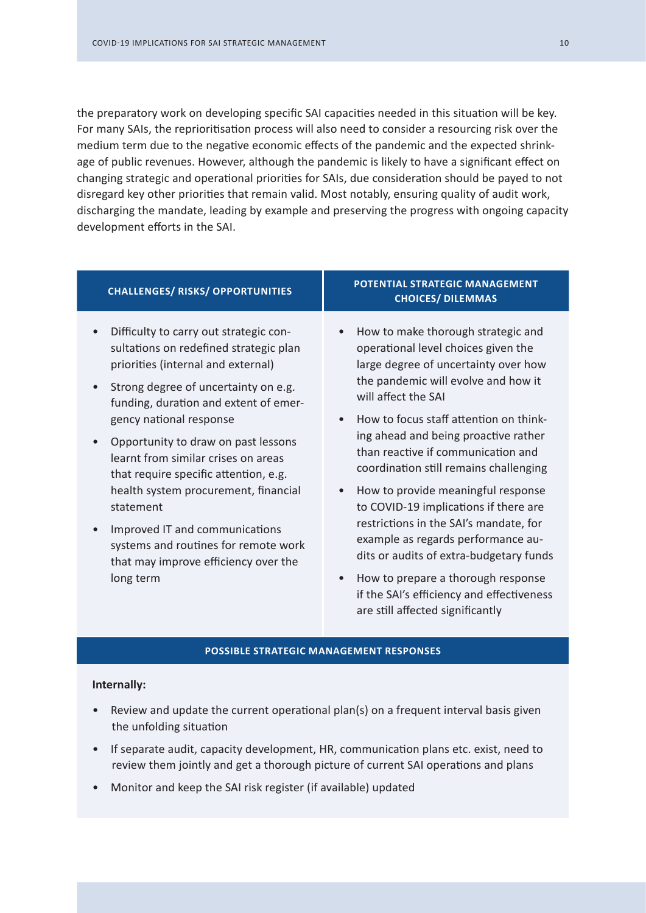the preparatory work on developing specific SAI capacities needed in this situation will be key. For many SAIs, the reprioritisation process will also need to consider a resourcing risk over the medium term due to the negative economic effects of the pandemic and the expected shrinkage of public revenues. However, although the pandemic is likely to have a significant effect on changing strategic and operational priorities for SAIs, due consideration should be payed to not disregard key other priorities that remain valid. Most notably, ensuring quality of audit work, discharging the mandate, leading by example and preserving the progress with ongoing capacity development efforts in the SAI.

| <b>CHALLENGES/ RISKS/ OPPORTUNITIES</b>                                                                                                                                                                                                                                                                                                                                                                                                                                                                                                       | POTENTIAL STRATEGIC MANAGEMENT<br><b>CHOICES/ DILEMMAS</b>                                                                                                                                                                                                                                                                                                                                                                                                                                                                                                                                                                                                                                                                             |  |
|-----------------------------------------------------------------------------------------------------------------------------------------------------------------------------------------------------------------------------------------------------------------------------------------------------------------------------------------------------------------------------------------------------------------------------------------------------------------------------------------------------------------------------------------------|----------------------------------------------------------------------------------------------------------------------------------------------------------------------------------------------------------------------------------------------------------------------------------------------------------------------------------------------------------------------------------------------------------------------------------------------------------------------------------------------------------------------------------------------------------------------------------------------------------------------------------------------------------------------------------------------------------------------------------------|--|
| Difficulty to carry out strategic con-<br>sultations on redefined strategic plan<br>priorities (internal and external)<br>Strong degree of uncertainty on e.g.<br>funding, duration and extent of emer-<br>gency national response<br>Opportunity to draw on past lessons<br>learnt from similar crises on areas<br>that require specific attention, e.g.<br>health system procurement, financial<br>statement<br>Improved IT and communications<br>systems and routines for remote work<br>that may improve efficiency over the<br>long term | How to make thorough strategic and<br>$\bullet$<br>operational level choices given the<br>large degree of uncertainty over how<br>the pandemic will evolve and how it<br>will affect the SAI<br>How to focus staff attention on think-<br>$\bullet$<br>ing ahead and being proactive rather<br>than reactive if communication and<br>coordination still remains challenging<br>How to provide meaningful response<br>$\bullet$<br>to COVID-19 implications if there are<br>restrictions in the SAI's mandate, for<br>example as regards performance au-<br>dits or audits of extra-budgetary funds<br>How to prepare a thorough response<br>$\bullet$<br>if the SAI's efficiency and effectiveness<br>are still affected significantly |  |
| <b>POSSIBLE STRATEGIC MANAGEMENT RESPONSES</b>                                                                                                                                                                                                                                                                                                                                                                                                                                                                                                |                                                                                                                                                                                                                                                                                                                                                                                                                                                                                                                                                                                                                                                                                                                                        |  |

#### **Internally:**

- Review and update the current operational plan(s) on a frequent interval basis given the unfolding situation
- If separate audit, capacity development, HR, communication plans etc. exist, need to review them jointly and get a thorough picture of current SAI operations and plans
- Monitor and keep the SAI risk register (if available) updated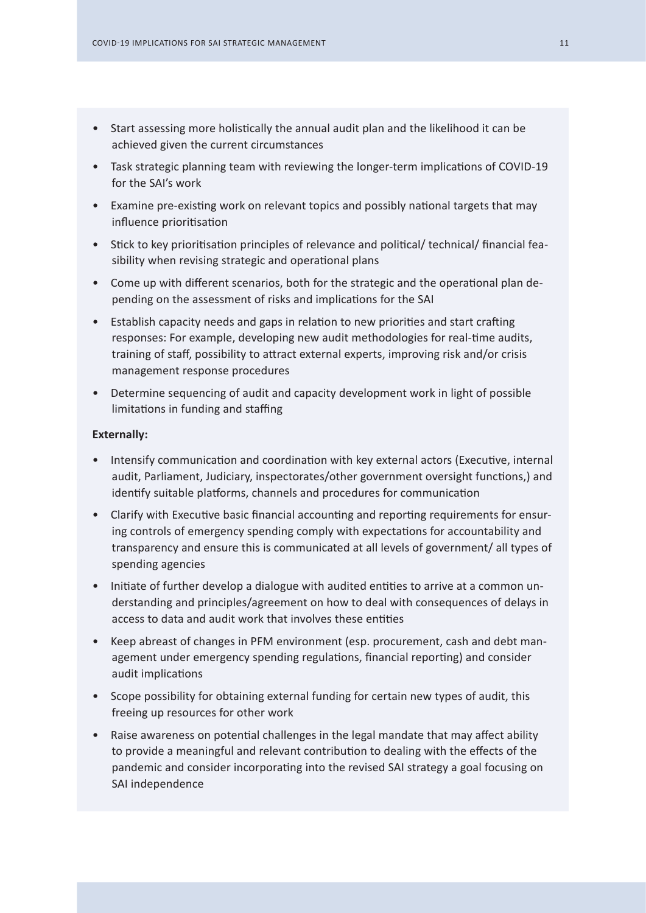- Start assessing more holistically the annual audit plan and the likelihood it can be achieved given the current circumstances
- Task strategic planning team with reviewing the longer-term implications of COVID-19 for the SAI's work
- Examine pre-existing work on relevant topics and possibly national targets that may influence prioritisation
- Stick to key prioritisation principles of relevance and political/ technical/ financial feasibility when revising strategic and operational plans
- Come up with different scenarios, both for the strategic and the operational plan depending on the assessment of risks and implications for the SAI
- Establish capacity needs and gaps in relation to new priorities and start crafting responses: For example, developing new audit methodologies for real-time audits, training of staff, possibility to attract external experts, improving risk and/or crisis management response procedures
- Determine sequencing of audit and capacity development work in light of possible limitations in funding and staffing

- Intensify communication and coordination with key external actors (Executive, internal audit, Parliament, Judiciary, inspectorates/other government oversight functions,) and identify suitable platforms, channels and procedures for communication
- Clarify with Executive basic financial accounting and reporting requirements for ensuring controls of emergency spending comply with expectations for accountability and transparency and ensure this is communicated at all levels of government/ all types of spending agencies
- Initiate of further develop a dialogue with audited entities to arrive at a common understanding and principles/agreement on how to deal with consequences of delays in access to data and audit work that involves these entities
- Keep abreast of changes in PFM environment (esp. procurement, cash and debt management under emergency spending regulations, financial reporting) and consider audit implications
- Scope possibility for obtaining external funding for certain new types of audit, this freeing up resources for other work
- Raise awareness on potential challenges in the legal mandate that may affect ability to provide a meaningful and relevant contribution to dealing with the effects of the pandemic and consider incorporating into the revised SAI strategy a goal focusing on SAI independence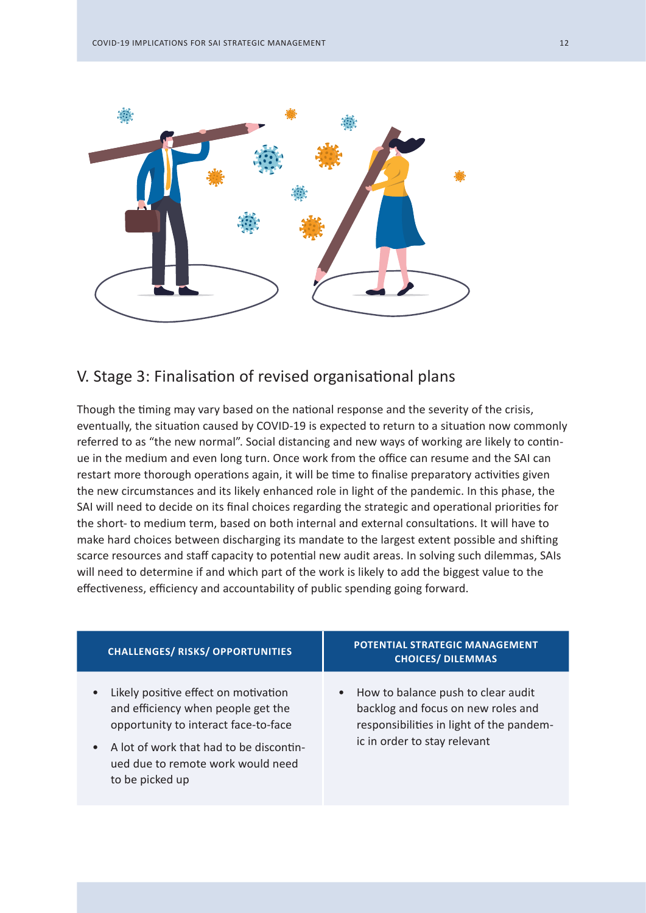

# V. Stage 3: Finalisation of revised organisational plans

Though the timing may vary based on the national response and the severity of the crisis, eventually, the situation caused by COVID-19 is expected to return to a situation now commonly referred to as "the new normal". Social distancing and new ways of working are likely to continue in the medium and even long turn. Once work from the office can resume and the SAI can restart more thorough operations again, it will be time to finalise preparatory activities given the new circumstances and its likely enhanced role in light of the pandemic. In this phase, the SAI will need to decide on its final choices regarding the strategic and operational priorities for the short- to medium term, based on both internal and external consultations. It will have to make hard choices between discharging its mandate to the largest extent possible and shifting scarce resources and staff capacity to potential new audit areas. In solving such dilemmas, SAIs will need to determine if and which part of the work is likely to add the biggest value to the effectiveness, efficiency and accountability of public spending going forward.

| <b>CHALLENGES/ RISKS/ OPPORTUNITIES</b>                                                                                                                                                                               | <b>POTENTIAL STRATEGIC MANAGEMENT</b><br><b>CHOICES/ DILEMMAS</b>                                                                                                 |
|-----------------------------------------------------------------------------------------------------------------------------------------------------------------------------------------------------------------------|-------------------------------------------------------------------------------------------------------------------------------------------------------------------|
| Likely positive effect on motivation<br>and efficiency when people get the<br>opportunity to interact face-to-face<br>A lot of work that had to be discontin-<br>ued due to remote work would need<br>to be picked up | How to balance push to clear audit<br>$\bullet$<br>backlog and focus on new roles and<br>responsibilities in light of the pandem-<br>ic in order to stay relevant |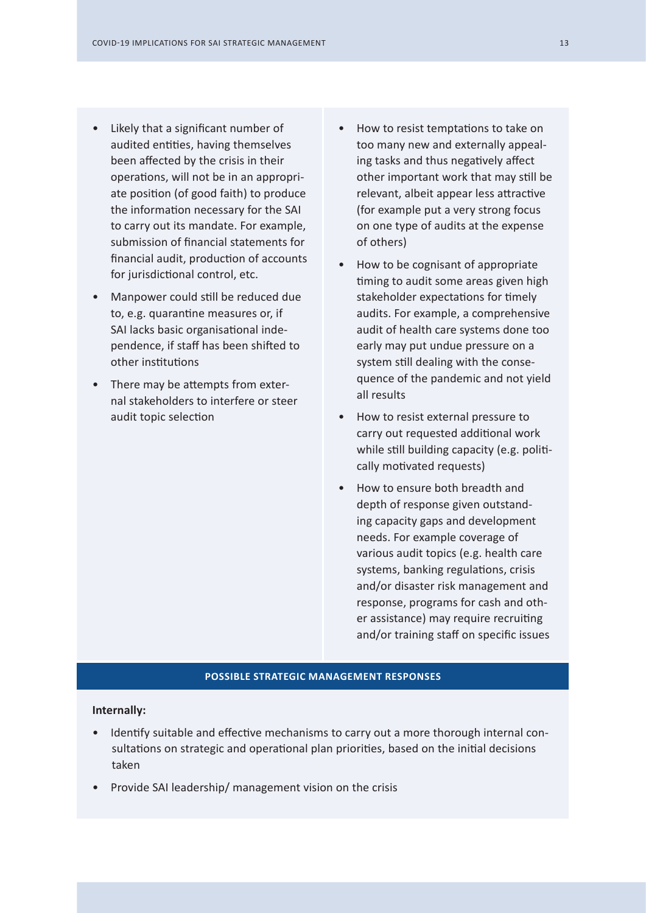- Likely that a significant number of audited entities, having themselves been affected by the crisis in their operations, will not be in an appropriate position (of good faith) to produce the information necessary for the SAI to carry out its mandate. For example, submission of financial statements for financial audit, production of accounts for jurisdictional control, etc.
- Manpower could still be reduced due to, e.g. quarantine measures or, if SAI lacks basic organisational independence, if staff has been shifted to other institutions
- There may be attempts from external stakeholders to interfere or steer audit topic selection
- How to resist temptations to take on too many new and externally appealing tasks and thus negatively affect other important work that may still be relevant, albeit appear less attractive (for example put a very strong focus on one type of audits at the expense of others)
- How to be cognisant of appropriate timing to audit some areas given high stakeholder expectations for timely audits. For example, a comprehensive audit of health care systems done too early may put undue pressure on a system still dealing with the consequence of the pandemic and not yield all results
- How to resist external pressure to carry out requested additional work while still building capacity (e.g. politically motivated requests)
- How to ensure both breadth and depth of response given outstanding capacity gaps and development needs. For example coverage of various audit topics (e.g. health care systems, banking regulations, crisis and/or disaster risk management and response, programs for cash and other assistance) may require recruiting and/or training staff on specific issues

#### **POSSIBLE STRATEGIC MANAGEMENT RESPONSES**

#### **Internally:**

- Identify suitable and effective mechanisms to carry out a more thorough internal consultations on strategic and operational plan priorities, based on the initial decisions taken
- Provide SAI leadership/ management vision on the crisis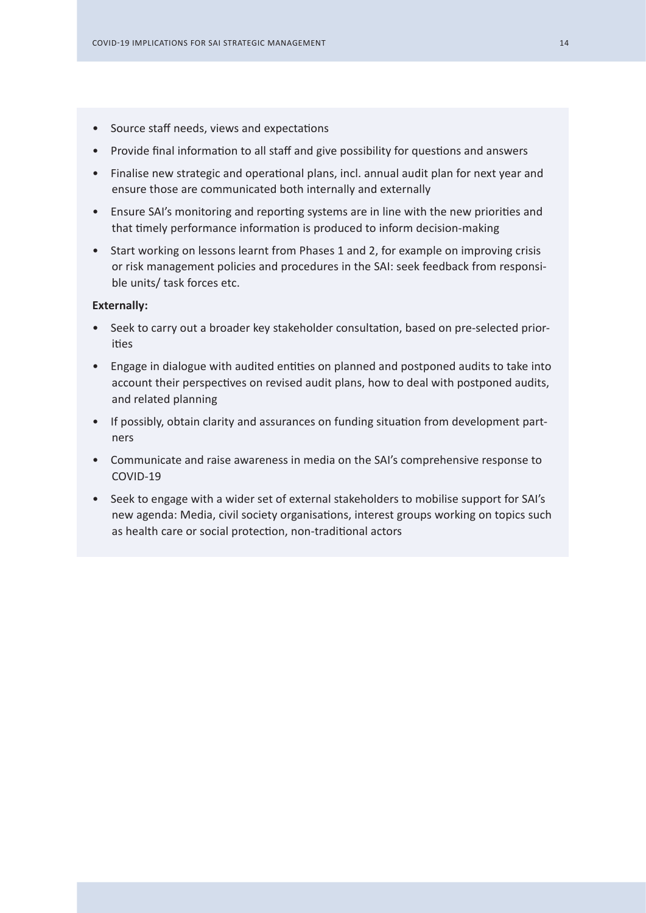- Source staff needs, views and expectations
- Provide final information to all staff and give possibility for questions and answers
- Finalise new strategic and operational plans, incl. annual audit plan for next year and ensure those are communicated both internally and externally
- Ensure SAI's monitoring and reporting systems are in line with the new priorities and that timely performance information is produced to inform decision-making
- Start working on lessons learnt from Phases 1 and 2, for example on improving crisis or risk management policies and procedures in the SAI: seek feedback from responsible units/ task forces etc.

- Seek to carry out a broader key stakeholder consultation, based on pre-selected priorities
- Engage in dialogue with audited entities on planned and postponed audits to take into account their perspectives on revised audit plans, how to deal with postponed audits, and related planning
- If possibly, obtain clarity and assurances on funding situation from development partners
- Communicate and raise awareness in media on the SAI's comprehensive response to COVID-19
- Seek to engage with a wider set of external stakeholders to mobilise support for SAI's new agenda: Media, civil society organisations, interest groups working on topics such as health care or social protection, non-traditional actors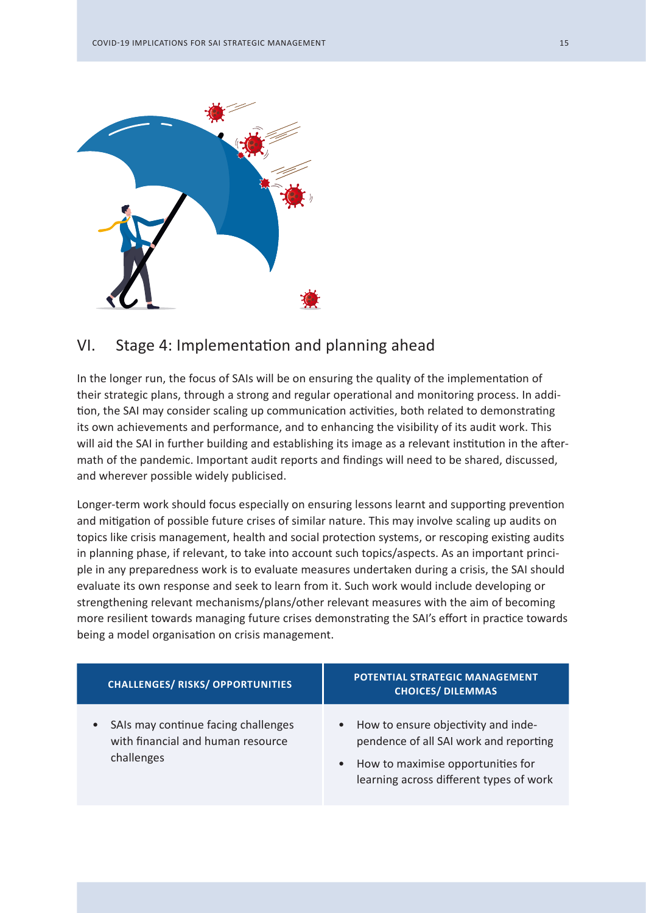

# VI. Stage 4: Implementation and planning ahead

In the longer run, the focus of SAIs will be on ensuring the quality of the implementation of their strategic plans, through a strong and regular operational and monitoring process. In addition, the SAI may consider scaling up communication activities, both related to demonstrating its own achievements and performance, and to enhancing the visibility of its audit work. This will aid the SAI in further building and establishing its image as a relevant institution in the aftermath of the pandemic. Important audit reports and findings will need to be shared, discussed, and wherever possible widely publicised.

Longer-term work should focus especially on ensuring lessons learnt and supporting prevention and mitigation of possible future crises of similar nature. This may involve scaling up audits on topics like crisis management, health and social protection systems, or rescoping existing audits in planning phase, if relevant, to take into account such topics/aspects. As an important principle in any preparedness work is to evaluate measures undertaken during a crisis, the SAI should evaluate its own response and seek to learn from it. Such work would include developing or strengthening relevant mechanisms/plans/other relevant measures with the aim of becoming more resilient towards managing future crises demonstrating the SAI's effort in practice towards being a model organisation on crisis management.

| <b>CHALLENGES/ RISKS/ OPPORTUNITIES</b>                                                             | POTENTIAL STRATEGIC MANAGEMENT<br><b>CHOICES/ DILEMMAS</b>                                                                                                                              |
|-----------------------------------------------------------------------------------------------------|-----------------------------------------------------------------------------------------------------------------------------------------------------------------------------------------|
| SAIs may continue facing challenges<br>$\bullet$<br>with financial and human resource<br>challenges | How to ensure objectivity and inde-<br>$\bullet$<br>pendence of all SAI work and reporting<br>How to maximise opportunities for<br>$\bullet$<br>learning across different types of work |